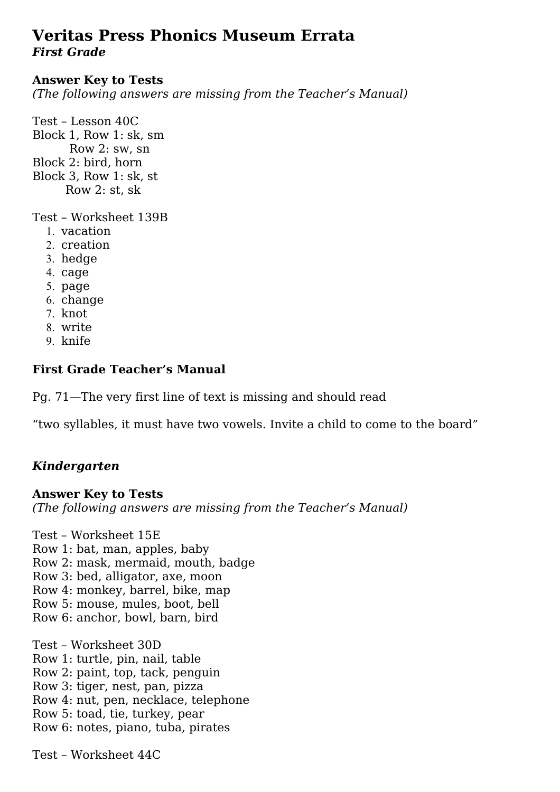# **Veritas Press Phonics Museum Errata** *First Grade*

#### **Answer Key to Tests**

*(The following answers are missing from the Teacher's Manual)*

Test – Lesson 40C Block 1, Row 1: sk, sm Row 2: sw, sn Block 2: bird, horn Block 3, Row 1: sk, st Row 2: st, sk

Test – Worksheet 139B

- 1. vacation
- 2. creation
- 3. hedge
- 4. cage
- 5. page
- 6. change
- 7. knot
- 8. write
- 9. knife

### **First Grade Teacher's Manual**

Pg. 71—The very first line of text is missing and should read

"two syllables, it must have two vowels. Invite a child to come to the board"

## *Kindergarten*

#### **Answer Key to Tests**

*(The following answers are missing from the Teacher's Manual)*

Test – Worksheet 15E Row 1: bat, man, apples, baby Row 2: mask, mermaid, mouth, badge Row 3: bed, alligator, axe, moon Row 4: monkey, barrel, bike, map Row 5: mouse, mules, boot, bell Row 6: anchor, bowl, barn, bird Test – Worksheet 30D Row 1: turtle, pin, nail, table Row 2: paint, top, tack, penguin Row 3: tiger, nest, pan, pizza Row 4: nut, pen, necklace, telephone Row 5: toad, tie, turkey, pear Row 6: notes, piano, tuba, pirates

Test – Worksheet 44C